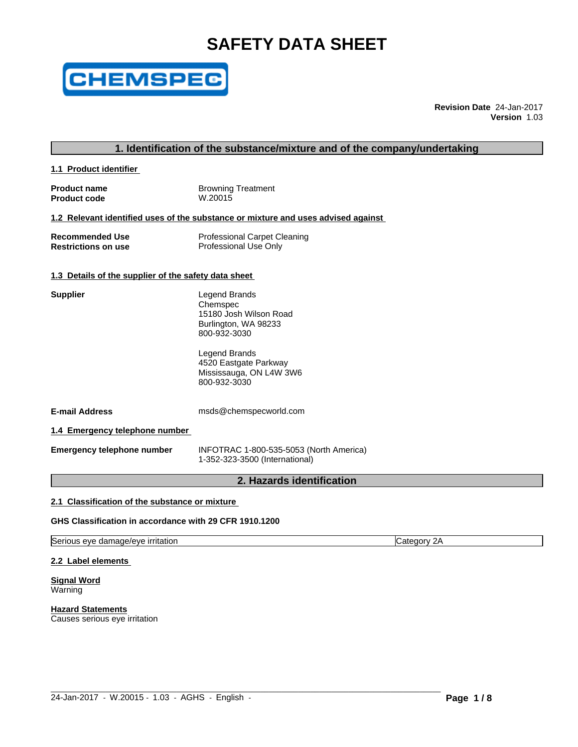# **SAFETY DATA SHEET**



**Revision Date** 24-Jan-2017 **Version** 1.03

### **1. Identification of the substance/mixture and of the company/undertaking**

**1.1 Product identifier** 

**Product name**<br> **Product code**<br> **Product code**<br> **CODE Product code** 

#### **1.2 Relevant identified uses of the substance or mixture and uses advised against**

| <b>Recommended Use</b>     | <b>Professional Carpet Cleaning</b> |
|----------------------------|-------------------------------------|
| <b>Restrictions on use</b> | Professional Use Only               |

#### **1.3 Details of the supplier of the safety data sheet**

| Supplier | Legend Brands          |  |
|----------|------------------------|--|
|          | Chemspec               |  |
|          | 15180 Josh Wilson Road |  |
|          | Burlington, WA 98233   |  |
|          | 800-932-3030           |  |

Legend Brands 4520 Eastgate Parkway Mississauga, ON L4W 3W6 800-932-3030

**E-mail Address** msds@chemspecworld.com

**1.4 Emergency telephone number**

**Emergency telephone number** INFOTRAC 1-800-535-5053 (North America) 1-352-323-3500 (International)

 $\_$  ,  $\_$  ,  $\_$  ,  $\_$  ,  $\_$  ,  $\_$  ,  $\_$  ,  $\_$  ,  $\_$  ,  $\_$  ,  $\_$  ,  $\_$  ,  $\_$  ,  $\_$  ,  $\_$  ,  $\_$  ,  $\_$  ,  $\_$  ,  $\_$  ,  $\_$  ,  $\_$  ,  $\_$  ,  $\_$  ,  $\_$  ,  $\_$  ,  $\_$  ,  $\_$  ,  $\_$  ,  $\_$  ,  $\_$  ,  $\_$  ,  $\_$  ,  $\_$  ,  $\_$  ,  $\_$  ,  $\_$  ,  $\_$  ,

# **2. Hazards identification**

#### **2.1 Classification of the substance or mixture**

**GHS Classification in accordance with 29 CFR 1910.1200**

Serious eye damage/eye irritation Category 2A

**2.2 Label elements**

**Signal Word** Warning

**Hazard Statements** Causes serious eye irritation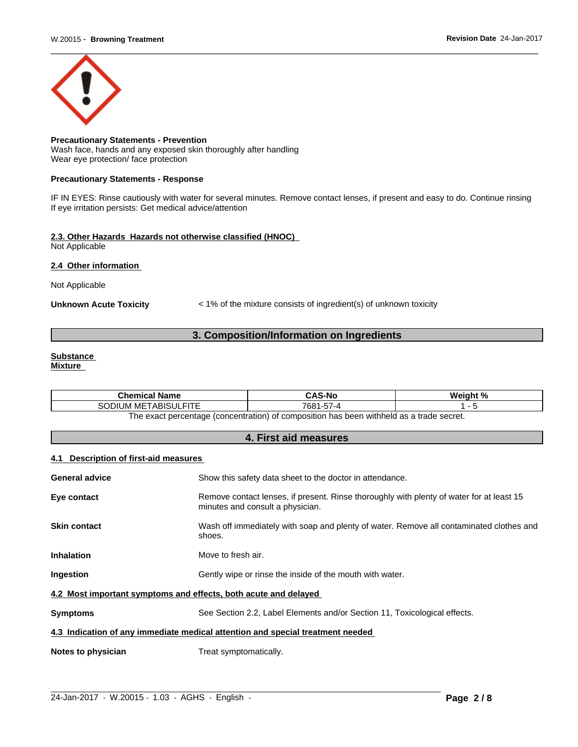

**Precautionary Statements - Prevention** Wash face, hands and any exposed skin thoroughly after handling Wear eye protection/ face protection

#### **Precautionary Statements - Response**

IF IN EYES: Rinse cautiously with water for several minutes. Remove contact lenses, if present and easy to do. Continue rinsing If eye irritation persists: Get medical advice/attention

#### **2.3. Other Hazards Hazards not otherwise classified (HNOC)** Not Applicable

#### **2.4 Other information**

Not Applicable

**Unknown Acute Toxicity** < 1% of the mixture consists of ingredient(s) of unknown toxicity

# **3. Composition/Information on Ingredients**

# **Substance**

**Mixture**

| <b>Chemical Name</b>                                                                    | CAS-No                   | نه د.<br>Weiaht<br>70 |  |  |
|-----------------------------------------------------------------------------------------|--------------------------|-----------------------|--|--|
| <b>FITE</b><br>METABISULI<br>$\sim$<br>SODIUM                                           | $- -$<br>7681<br>-57 - P |                       |  |  |
| The exact perceptage (concentration) of compecition has been withhold as a trade secret |                          |                       |  |  |

The exact percentage (concentration) of composition has been withheld as a trade secret.

# **4. First aid measures**

#### **4.1 Description of first-aid measures**

| <b>General advice</b>                                           | Show this safety data sheet to the doctor in attendance.                                                                     |  |
|-----------------------------------------------------------------|------------------------------------------------------------------------------------------------------------------------------|--|
| Eye contact                                                     | Remove contact lenses, if present. Rinse thoroughly with plenty of water for at least 15<br>minutes and consult a physician. |  |
| <b>Skin contact</b>                                             | Wash off immediately with soap and plenty of water. Remove all contaminated clothes and<br>shoes.                            |  |
| <b>Inhalation</b>                                               | Move to fresh air.                                                                                                           |  |
| Ingestion                                                       | Gently wipe or rinse the inside of the mouth with water.                                                                     |  |
| 4.2 Most important symptoms and effects, both acute and delayed |                                                                                                                              |  |
| <b>Symptoms</b>                                                 | See Section 2.2, Label Elements and/or Section 11, Toxicological effects.                                                    |  |
|                                                                 | 4.3 Indication of any immediate medical attention and special treatment needed                                               |  |
| Notes to physician                                              | Treat symptomatically.                                                                                                       |  |
|                                                                 |                                                                                                                              |  |

 $\_$  ,  $\_$  ,  $\_$  ,  $\_$  ,  $\_$  ,  $\_$  ,  $\_$  ,  $\_$  ,  $\_$  ,  $\_$  ,  $\_$  ,  $\_$  ,  $\_$  ,  $\_$  ,  $\_$  ,  $\_$  ,  $\_$  ,  $\_$  ,  $\_$  ,  $\_$  ,  $\_$  ,  $\_$  ,  $\_$  ,  $\_$  ,  $\_$  ,  $\_$  ,  $\_$  ,  $\_$  ,  $\_$  ,  $\_$  ,  $\_$  ,  $\_$  ,  $\_$  ,  $\_$  ,  $\_$  ,  $\_$  ,  $\_$  ,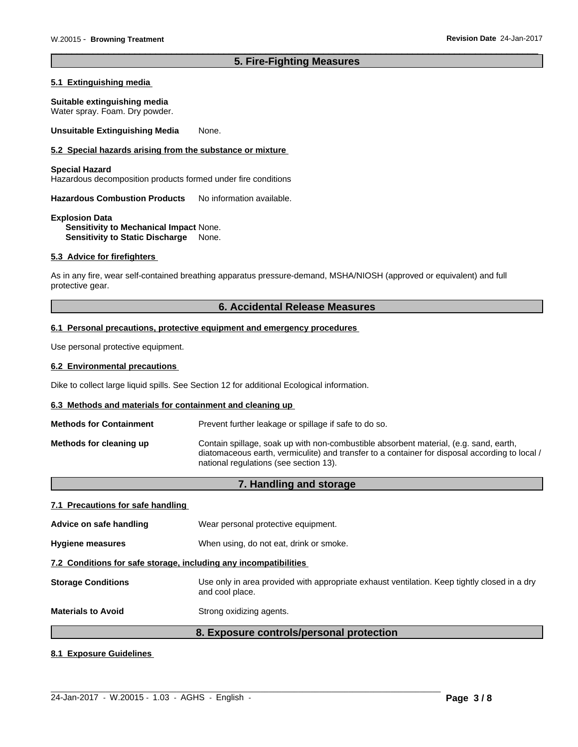# **5. Fire-Fighting Measures**

#### **5.1 Extinguishing media**

#### **Suitable extinguishing media**

Water spray. Foam. Dry powder.

**Unsuitable Extinguishing Media** None.

#### **5.2 Special hazards arising from the substance or mixture**

#### **Special Hazard**

Hazardous decomposition products formed under fire conditions

**Hazardous Combustion Products** No information available.

#### **Explosion Data Sensitivity to Mechanical Impact** None. **Sensitivity to Static Discharge** None.

#### **5.3 Advice for firefighters**

As in any fire, wear self-contained breathing apparatus pressure-demand, MSHA/NIOSH (approved or equivalent) and full protective gear.

# **6. Accidental Release Measures**

#### **6.1 Personal precautions, protective equipment and emergency procedures**

Use personal protective equipment.

#### **6.2 Environmental precautions**

Dike to collect large liquid spills. See Section 12 for additional Ecological information.

#### **6.3 Methods and materials for containment and cleaning up**

| <b>Methods for Containment</b> | Prevent further leakage or spillage if safe to do so.                                                                                                                                                                             |  |  |
|--------------------------------|-----------------------------------------------------------------------------------------------------------------------------------------------------------------------------------------------------------------------------------|--|--|
| Methods for cleaning up        | Contain spillage, soak up with non-combustible absorbent material, (e.g. sand, earth,<br>diatomaceous earth, vermiculite) and transfer to a container for disposal according to local /<br>national regulations (see section 13). |  |  |

# **7. Handling and storage**

#### **7.1 Precautions for safe handling**

|                                                                  | 8. Exposure controls/personal protection                                                                        |  |
|------------------------------------------------------------------|-----------------------------------------------------------------------------------------------------------------|--|
| <b>Materials to Avoid</b>                                        | Strong oxidizing agents.                                                                                        |  |
| <b>Storage Conditions</b>                                        | Use only in area provided with appropriate exhaust ventilation. Keep tightly closed in a dry<br>and cool place. |  |
| 7.2 Conditions for safe storage, including any incompatibilities |                                                                                                                 |  |
| <b>Hygiene measures</b>                                          | When using, do not eat, drink or smoke.                                                                         |  |
| Advice on safe handling                                          | Wear personal protective equipment.                                                                             |  |
|                                                                  |                                                                                                                 |  |

 $\_$  ,  $\_$  ,  $\_$  ,  $\_$  ,  $\_$  ,  $\_$  ,  $\_$  ,  $\_$  ,  $\_$  ,  $\_$  ,  $\_$  ,  $\_$  ,  $\_$  ,  $\_$  ,  $\_$  ,  $\_$  ,  $\_$  ,  $\_$  ,  $\_$  ,  $\_$  ,  $\_$  ,  $\_$  ,  $\_$  ,  $\_$  ,  $\_$  ,  $\_$  ,  $\_$  ,  $\_$  ,  $\_$  ,  $\_$  ,  $\_$  ,  $\_$  ,  $\_$  ,  $\_$  ,  $\_$  ,  $\_$  ,  $\_$  ,

### **8.1 Exposure Guidelines**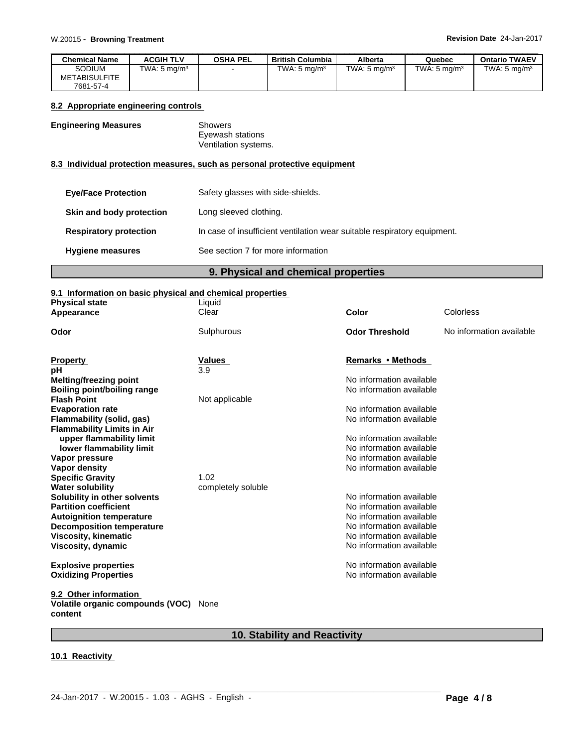| <b>Chemical Name</b>           | <b>ACGIH TLV</b>        | <b>OSHA PEL</b> | British Columbia        | Alberta        | Quebec                  | <b>Ontario TWAEV</b>    |
|--------------------------------|-------------------------|-----------------|-------------------------|----------------|-------------------------|-------------------------|
| Sodium<br><b>METABISULFITE</b> | TWA: $5 \text{ mg/m}^3$ |                 | TWA: $5 \text{ ma/m}^3$ | TWA: 5 $ma/m3$ | TWA: $5 \text{ ma/m}^3$ | TWA: $5 \text{ ma/m}^3$ |
| 7681-57-4                      |                         |                 |                         |                |                         |                         |

#### **8.2 Appropriate engineering controls**

#### **Engineering Measures** Showers

Eyewash stations Ventilation systems.

#### **8.3 Individual protection measures, such as personal protective equipment**

| <b>Eye/Face Protection</b>    | Safety glasses with side-shields.                                        |
|-------------------------------|--------------------------------------------------------------------------|
| Skin and body protection      | Long sleeved clothing.                                                   |
| <b>Respiratory protection</b> | In case of insufficient ventilation wear suitable respiratory equipment. |
| <b>Hygiene measures</b>       | See section 7 for more information                                       |

# **9. Physical and chemical properties**

# **9.1 Information on basic physical and chemical properties**

| <b>Physical state</b>                                   | Liquid             |                          |                          |
|---------------------------------------------------------|--------------------|--------------------------|--------------------------|
| Appearance                                              | Clear              | <b>Color</b>             | Colorless                |
| Odor                                                    | Sulphurous         | <b>Odor Threshold</b>    | No information available |
| <b>Property</b>                                         | Values             | Remarks • Methods        |                          |
| pН                                                      | 3.9                |                          |                          |
| Melting/freezing point                                  |                    | No information available |                          |
| <b>Boiling point/boiling range</b>                      |                    | No information available |                          |
| <b>Flash Point</b>                                      | Not applicable     |                          |                          |
| <b>Evaporation rate</b>                                 |                    | No information available |                          |
| Flammability (solid, gas)                               |                    | No information available |                          |
| <b>Flammability Limits in Air</b>                       |                    |                          |                          |
| upper flammability limit                                |                    | No information available |                          |
| lower flammability limit                                |                    | No information available |                          |
| Vapor pressure                                          |                    | No information available |                          |
| Vapor density                                           |                    | No information available |                          |
| <b>Specific Gravity</b>                                 | 1.02               |                          |                          |
| <b>Water solubility</b>                                 | completely soluble |                          |                          |
| Solubility in other solvents                            |                    | No information available |                          |
| <b>Partition coefficient</b>                            |                    | No information available |                          |
| <b>Autoignition temperature</b>                         |                    | No information available |                          |
| <b>Decomposition temperature</b>                        |                    | No information available |                          |
| <b>Viscosity, kinematic</b>                             |                    | No information available |                          |
| Viscosity, dynamic                                      |                    | No information available |                          |
| <b>Explosive properties</b>                             |                    | No information available |                          |
| <b>Oxidizing Properties</b>                             |                    | No information available |                          |
| 9.2 Other information                                   |                    |                          |                          |
| <b>Volatile organic compounds (VOC)</b> None<br>content |                    |                          |                          |

# **10. Stability and Reactivity**

 $\_$  ,  $\_$  ,  $\_$  ,  $\_$  ,  $\_$  ,  $\_$  ,  $\_$  ,  $\_$  ,  $\_$  ,  $\_$  ,  $\_$  ,  $\_$  ,  $\_$  ,  $\_$  ,  $\_$  ,  $\_$  ,  $\_$  ,  $\_$  ,  $\_$  ,  $\_$  ,  $\_$  ,  $\_$  ,  $\_$  ,  $\_$  ,  $\_$  ,  $\_$  ,  $\_$  ,  $\_$  ,  $\_$  ,  $\_$  ,  $\_$  ,  $\_$  ,  $\_$  ,  $\_$  ,  $\_$  ,  $\_$  ,  $\_$  ,

### **10.1 Reactivity**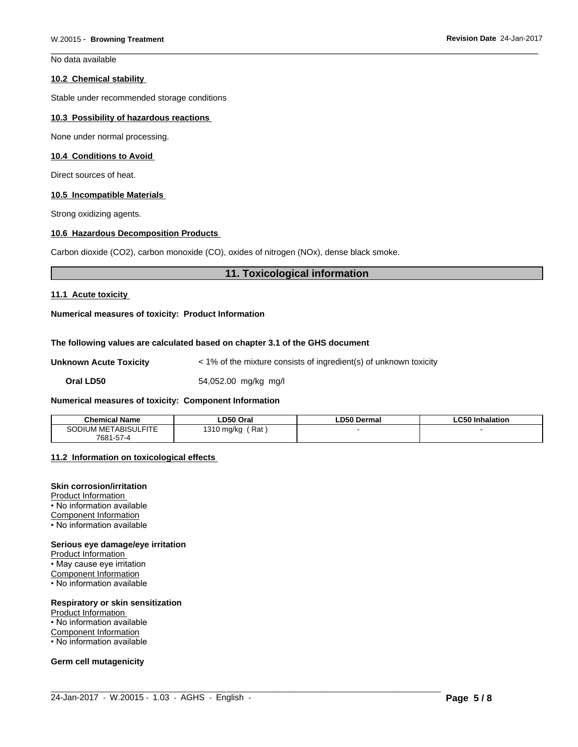No data available

#### **10.2 Chemical stability**

Stable under recommended storage conditions

#### **10.3 Possibility of hazardous reactions**

None under normal processing.

#### **10.4 Conditions to Avoid**

Direct sources of heat.

#### **10.5 Incompatible Materials**

Strong oxidizing agents.

#### **10.6 Hazardous Decomposition Products**

Carbon dioxide (CO2), carbon monoxide (CO), oxides of nitrogen (NOx), dense black smoke.

#### **11. Toxicological information**

#### **11.1 Acute toxicity**

#### **Numerical measures of toxicity: Product Information**

#### **The following values are calculated based on chapter 3.1 of the GHS document**

**Unknown Acute Toxicity**  $\leq 1\%$  of the mixture consists of ingredient(s) of unknown toxicity

**Oral LD50** 54,052.00 mg/kg mg/l

#### **Numerical measures of toxicity: Component Information**

| Chemical Name                  | LD50 Oral                    | <b>LD50 Dermal</b> | <b>LC50 Inhalation</b> |
|--------------------------------|------------------------------|--------------------|------------------------|
| <b>METABISULFITE</b><br>Sodium | 1310 mg/kg<br>$DA+$<br>: Rai |                    |                        |
| 7681-57-4                      |                              |                    |                        |

#### **11.2 Information on toxicologicaleffects**

#### **Skin corrosion/irritation**

Product Information • No information available Component Information

• No information available

# **Serious eye damage/eye irritation**

Product Information

• May cause eye irritation

Component Information

• No information available

# **Respiratory or skin sensitization**

Product Information • No information available Component Information • No information available

#### **Germ cell mutagenicity**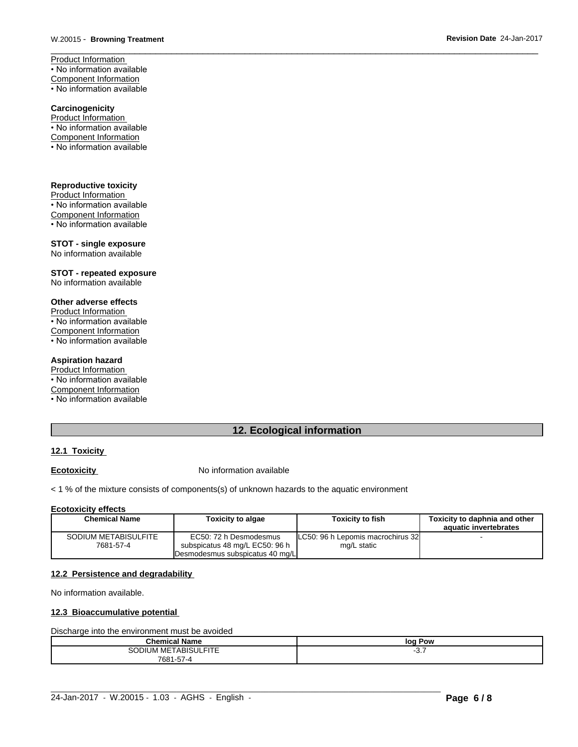Product Information • No information available Component Information • No information available

# **Carcinogenicity**

Product Information • No information available Component Information

• No information available

# **Reproductive toxicity**

Product Information • No information available Component Information • No information available

# **STOT - single exposure**

No information available

# **STOT - repeated exposure**

No information available

#### **Other adverse effects**

Product Information • No information available Component Information • No information available

#### **Aspiration hazard**

Product Information

- No information available
- Component Information
- No information available

# **12. Ecological information**

# **12.1 Toxicity**

**Ecotoxicity No information available** 

#### $<$  1 % of the mixture consists of components(s) of unknown hazards to the aquatic environment

#### **Ecotoxicity effects**

| <b>Chemical Name</b> | Toxicity to algae               | Toxicity to fish                    | Toxicity to daphnia and other |
|----------------------|---------------------------------|-------------------------------------|-------------------------------|
|                      |                                 |                                     | aquatic invertebrates         |
| SODIUM METABISULFITE | EC50: 72 h Desmodesmus          | ILC50: 96 h Lepomis macrochirus 32I |                               |
| 7681-57-4            | subspicatus 48 mg/L EC50: 96 h  | mg/L static                         |                               |
|                      | Desmodesmus subspicatus 40 mg/L |                                     |                               |

#### **12.2 Persistence and degradability**

No information available.

#### **12.3 Bioaccumulative potential**

#### Discharge into the environment must be avoided

| Chemi<br>emical Name           | Pow<br>loc |
|--------------------------------|------------|
| I METABISULFITE<br>۹r<br>JDIUM | ິ.         |
| 7681-57-4                      |            |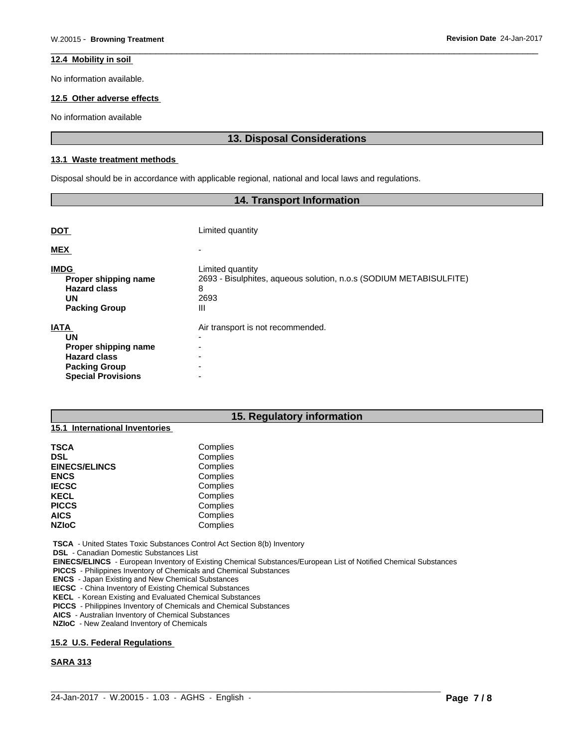#### **12.4 Mobility in soil**

No information available.

### **12.5 Other adverse effects**

No information available

# **13. Disposal Considerations**

#### **13.1 Waste treatment methods**

Disposal should be in accordance with applicable regional, national and local laws and regulations.

| <b>14. Transport Information</b>                                                                                      |                                                                                                          |  |  |  |  |
|-----------------------------------------------------------------------------------------------------------------------|----------------------------------------------------------------------------------------------------------|--|--|--|--|
|                                                                                                                       |                                                                                                          |  |  |  |  |
| <b>DOT</b>                                                                                                            | Limited quantity                                                                                         |  |  |  |  |
| <b>MEX</b>                                                                                                            |                                                                                                          |  |  |  |  |
| <b>IMDG</b><br>Proper shipping name<br><b>Hazard class</b><br>UN<br><b>Packing Group</b>                              | Limited quantity<br>2693 - Bisulphites, aqueous solution, n.o.s (SODIUM METABISULFITE)<br>8<br>2693<br>Ш |  |  |  |  |
| <b>IATA</b><br>UN<br>Proper shipping name<br><b>Hazard class</b><br><b>Packing Group</b><br><b>Special Provisions</b> | Air transport is not recommended.<br>$\overline{\phantom{0}}$                                            |  |  |  |  |

| 15. Regulatory information                                                      |          |  |  |  |  |
|---------------------------------------------------------------------------------|----------|--|--|--|--|
| International Inventories<br>15.1                                               |          |  |  |  |  |
| <b>TSCA</b>                                                                     | Complies |  |  |  |  |
| <b>DSL</b>                                                                      | Complies |  |  |  |  |
| <b>EINECS/ELINCS</b>                                                            | Complies |  |  |  |  |
| <b>ENCS</b>                                                                     | Complies |  |  |  |  |
| <b>IECSC</b>                                                                    | Complies |  |  |  |  |
| <b>KECL</b>                                                                     | Complies |  |  |  |  |
| <b>PICCS</b>                                                                    | Complies |  |  |  |  |
| <b>AICS</b>                                                                     | Complies |  |  |  |  |
| <b>NZIoC</b>                                                                    | Complies |  |  |  |  |
| <b>TSCA</b> - United States Toxic Substances Control Act Section 8(b) Inventory |          |  |  |  |  |

 **DSL** - Canadian Domestic Substances List

 **EINECS/ELINCS** - European Inventory of Existing Chemical Substances/European List of Notified Chemical Substances

 $\_$  ,  $\_$  ,  $\_$  ,  $\_$  ,  $\_$  ,  $\_$  ,  $\_$  ,  $\_$  ,  $\_$  ,  $\_$  ,  $\_$  ,  $\_$  ,  $\_$  ,  $\_$  ,  $\_$  ,  $\_$  ,  $\_$  ,  $\_$  ,  $\_$  ,  $\_$  ,  $\_$  ,  $\_$  ,  $\_$  ,  $\_$  ,  $\_$  ,  $\_$  ,  $\_$  ,  $\_$  ,  $\_$  ,  $\_$  ,  $\_$  ,  $\_$  ,  $\_$  ,  $\_$  ,  $\_$  ,  $\_$  ,  $\_$  ,

 **PICCS** - Philippines Inventory of Chemicals and Chemical Substances

 **ENCS** - Japan Existing and New Chemical Substances

 **IECSC** - China Inventory of Existing Chemical Substances

 **KECL** - Korean Existing and Evaluated Chemical Substances

 **PICCS** - Philippines Inventory of Chemicals and Chemical Substances

 **AICS** - Australian Inventory of Chemical Substances

 **NZIoC** - New Zealand Inventory of Chemicals

#### **15.2 U.S. Federal Regulations**

#### **SARA 313**